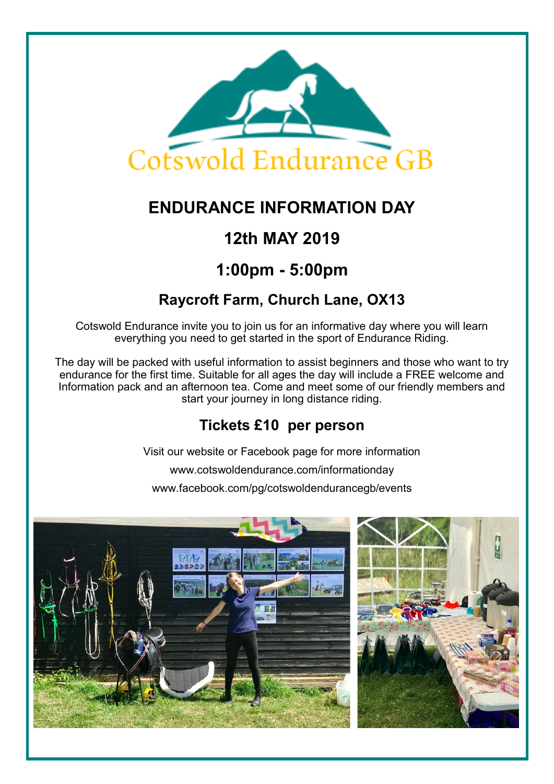

# **ENDURANCE INFORMATION DAY**

## **12th MAY 2019**

## **1:00pm - 5:00pm**

### **Raycroft Farm, Church Lane, OX13**

Cotswold Endurance invite you to join us for an informative day where you will learn everything you need to get started in the sport of Endurance Riding.

The day will be packed with useful information to assist beginners and those who want to try endurance for the first time. Suitable for all ages the day will include a FREE welcome and Information pack and an afternoon tea. Come and meet some of our friendly members and start your journey in long distance riding.

### **Tickets £10 per person**

Visit our website or Facebook page for more information

www.cotswoldendurance.com/informationday

www.facebook.com/pg/cotswoldendurancegb/events